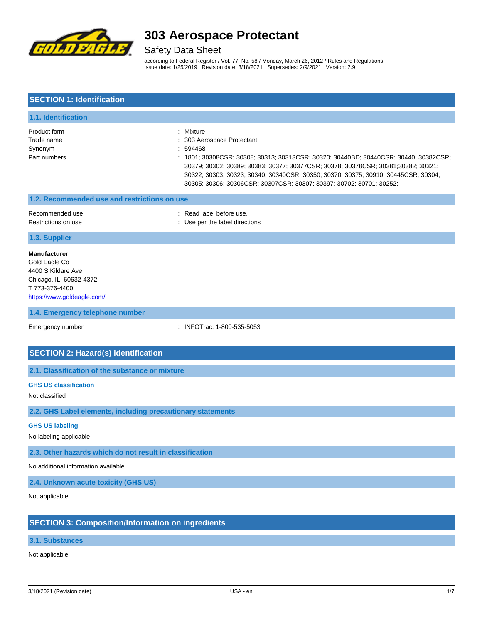

Safety Data Sheet

according to Federal Register / Vol. 77, No. 58 / Monday, March 26, 2012 / Rules and Regulations Issue date: 1/25/2019 Revision date: 3/18/2021 Supersedes: 2/9/2021 Version: 2.9

| <b>SECTION 1: Identification</b>                                                                                                      |                                                                                                                                                                                                                                                                                                                                                                                            |
|---------------------------------------------------------------------------------------------------------------------------------------|--------------------------------------------------------------------------------------------------------------------------------------------------------------------------------------------------------------------------------------------------------------------------------------------------------------------------------------------------------------------------------------------|
| 1.1. Identification                                                                                                                   |                                                                                                                                                                                                                                                                                                                                                                                            |
| Product form<br>Trade name<br>Synonym<br>Part numbers                                                                                 | : Mixture<br>303 Aerospace Protectant<br>594468<br>: 1801; 30308CSR; 30308; 30313; 30313CSR; 30320; 30440BD; 30440CSR; 30440; 30382CSR;<br>30379; 30302; 30389; 30383; 30377; 30377CSR; 30378; 30378CSR; 30381;30382; 30321;<br>30322; 30303; 30323; 30340; 30340CSR; 30350; 30370; 30375; 30910; 30445CSR; 30304;<br>30305; 30306; 30306CSR; 30307CSR; 30307; 30397; 30702; 30701; 30252; |
| 1.2. Recommended use and restrictions on use                                                                                          |                                                                                                                                                                                                                                                                                                                                                                                            |
| Recommended use<br>Restrictions on use                                                                                                | : Read label before use.<br>: Use per the label directions                                                                                                                                                                                                                                                                                                                                 |
| 1.3. Supplier                                                                                                                         |                                                                                                                                                                                                                                                                                                                                                                                            |
| <b>Manufacturer</b><br>Gold Eagle Co<br>4400 S Kildare Ave<br>Chicago, IL, 60632-4372<br>T 773-376-4400<br>https://www.goldeagle.com/ |                                                                                                                                                                                                                                                                                                                                                                                            |
| 1.4. Emergency telephone number                                                                                                       |                                                                                                                                                                                                                                                                                                                                                                                            |
| Emergency number                                                                                                                      | : INFOTrac: 1-800-535-5053                                                                                                                                                                                                                                                                                                                                                                 |
| <b>SECTION 2: Hazard(s) identification</b>                                                                                            |                                                                                                                                                                                                                                                                                                                                                                                            |
| 2.1. Classification of the substance or mixture                                                                                       |                                                                                                                                                                                                                                                                                                                                                                                            |
| <b>GHS US classification</b><br>Not classified                                                                                        |                                                                                                                                                                                                                                                                                                                                                                                            |
| 2.2. GHS Label elements, including precautionary statements                                                                           |                                                                                                                                                                                                                                                                                                                                                                                            |
| <b>GHS US labeling</b><br>No labeling applicable                                                                                      |                                                                                                                                                                                                                                                                                                                                                                                            |
| 2.3. Other hazards which do not result in classification                                                                              |                                                                                                                                                                                                                                                                                                                                                                                            |
| No additional information available                                                                                                   |                                                                                                                                                                                                                                                                                                                                                                                            |
| 2.4. Unknown acute toxicity (GHS US)                                                                                                  |                                                                                                                                                                                                                                                                                                                                                                                            |
| Not applicable                                                                                                                        |                                                                                                                                                                                                                                                                                                                                                                                            |
| <b>SECTION 3: Composition/Information on ingredients</b>                                                                              |                                                                                                                                                                                                                                                                                                                                                                                            |

**3.1. Substances**

Not applicable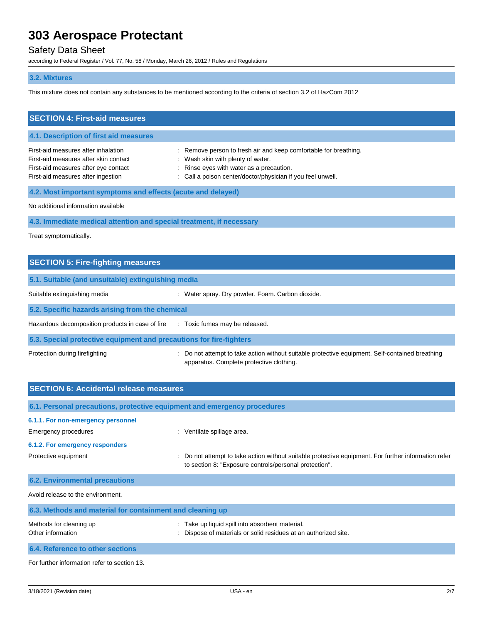### Safety Data Sheet

according to Federal Register / Vol. 77, No. 58 / Monday, March 26, 2012 / Rules and Regulations

### **3.2. Mixtures**

This mixture does not contain any substances to be mentioned according to the criteria of section 3.2 of HazCom 2012

| <b>SECTION 4: First-aid measures</b>                                                                                                                       |                                                                                                                                                                                                            |
|------------------------------------------------------------------------------------------------------------------------------------------------------------|------------------------------------------------------------------------------------------------------------------------------------------------------------------------------------------------------------|
| 4.1. Description of first aid measures                                                                                                                     |                                                                                                                                                                                                            |
| First-aid measures after inhalation<br>First-aid measures after skin contact<br>First-aid measures after eye contact<br>First-aid measures after ingestion | Remove person to fresh air and keep comfortable for breathing.<br>Wash skin with plenty of water.<br>Rinse eyes with water as a precaution.<br>: Call a poison center/doctor/physician if you feel unwell. |
| 4.2. Most important symptoms and effects (acute and delayed)                                                                                               |                                                                                                                                                                                                            |
| No additional information available                                                                                                                        |                                                                                                                                                                                                            |
| 4.3. Immediate medical attention and special treatment, if necessary                                                                                       |                                                                                                                                                                                                            |
| Treat symptomatically.                                                                                                                                     |                                                                                                                                                                                                            |
| <b>SECTION 5: Fire-fighting measures</b>                                                                                                                   |                                                                                                                                                                                                            |
| 5.1. Suitable (and unsuitable) extinguishing media                                                                                                         |                                                                                                                                                                                                            |
| Suitable extinguishing media                                                                                                                               | : Water spray. Dry powder. Foam. Carbon dioxide.                                                                                                                                                           |
| 5.2. Specific hazards arising from the chemical                                                                                                            |                                                                                                                                                                                                            |
| Hazardous decomposition products in case of fire                                                                                                           | : Toxic fumes may be released.                                                                                                                                                                             |
| 5.3. Special protective equipment and precautions for fire-fighters                                                                                        |                                                                                                                                                                                                            |
| Protection during firefighting                                                                                                                             | : Do not attempt to take action without suitable protective equipment. Self-contained breathing<br>apparatus. Complete protective clothing.                                                                |
| <b>SECTION 6: Accidental release measures</b>                                                                                                              |                                                                                                                                                                                                            |
| 6.1. Personal precautions, protective equipment and emergency procedures                                                                                   |                                                                                                                                                                                                            |
| 6.1.1. For non-emergency personnel                                                                                                                         |                                                                                                                                                                                                            |
| Emergency procedures                                                                                                                                       | : Ventilate spillage area.                                                                                                                                                                                 |
| 6.1.2. For emergency responders                                                                                                                            |                                                                                                                                                                                                            |
| Protective equipment                                                                                                                                       | Do not attempt to take action without suitable protective equipment. For further information refer<br>to section 8: "Exposure controls/personal protection".                                               |

**6.2. Environmental precautions**

Avoid release to the environment.

**6.3. Methods and material for containment and cleaning up** Methods for cleaning up **interval on the CO** in Take up liquid spill into absorbent material. Other information **intervals and the intervals** of materials or solid residues at an authorized site. **6.4. Reference to other sections**

For further information refer to section 13.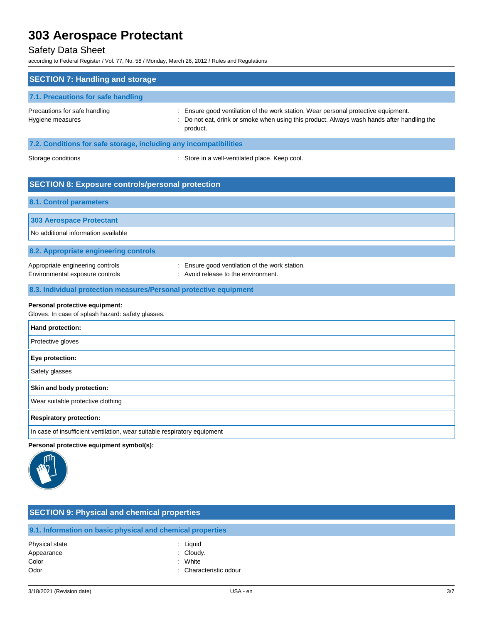### Safety Data Sheet

according to Federal Register / Vol. 77, No. 58 / Monday, March 26, 2012 / Rules and Regulations

| <b>SECTION 7: Handling and storage</b>                                              |                                                                                                                                                                                            |
|-------------------------------------------------------------------------------------|--------------------------------------------------------------------------------------------------------------------------------------------------------------------------------------------|
| 7.1. Precautions for safe handling                                                  |                                                                                                                                                                                            |
| Precautions for safe handling<br>Hygiene measures                                   | : Ensure good ventilation of the work station. Wear personal protective equipment.<br>Do not eat, drink or smoke when using this product. Always wash hands after handling the<br>product. |
| 7.2. Conditions for safe storage, including any incompatibilities                   |                                                                                                                                                                                            |
| Storage conditions                                                                  | : Store in a well-ventilated place. Keep cool.                                                                                                                                             |
| <b>SECTION 8: Exposure controls/personal protection</b>                             |                                                                                                                                                                                            |
| <b>8.1. Control parameters</b>                                                      |                                                                                                                                                                                            |
| <b>303 Aerospace Protectant</b>                                                     |                                                                                                                                                                                            |
| No additional information available                                                 |                                                                                                                                                                                            |
| 8.2. Appropriate engineering controls                                               |                                                                                                                                                                                            |
| Appropriate engineering controls<br>Environmental exposure controls                 | : Ensure good ventilation of the work station.<br>: Avoid release to the environment.                                                                                                      |
| 8.3. Individual protection measures/Personal protective equipment                   |                                                                                                                                                                                            |
| Personal protective equipment:<br>Gloves. In case of splash hazard: safety glasses. |                                                                                                                                                                                            |
| Hand protection:                                                                    |                                                                                                                                                                                            |
| Protective gloves                                                                   |                                                                                                                                                                                            |
| Eye protection:                                                                     |                                                                                                                                                                                            |
| Safety glasses                                                                      |                                                                                                                                                                                            |
| Skin and body protection:                                                           |                                                                                                                                                                                            |
| Wear suitable protective clothing                                                   |                                                                                                                                                                                            |
| <b>Respiratory protection:</b>                                                      |                                                                                                                                                                                            |
| In case of insufficient ventilation, wear suitable respiratory equipment            |                                                                                                                                                                                            |
| Personal protective equipment symbol(s):<br>m.                                      |                                                                                                                                                                                            |



### **SECTION 9: Physical and chemical properties**

**9.1. Information on basic physical and chemical properties**

- Physical state : Liquid Appearance : Cloudy. Color : White : White
	-
	-
	-
- Odor : Characteristic odour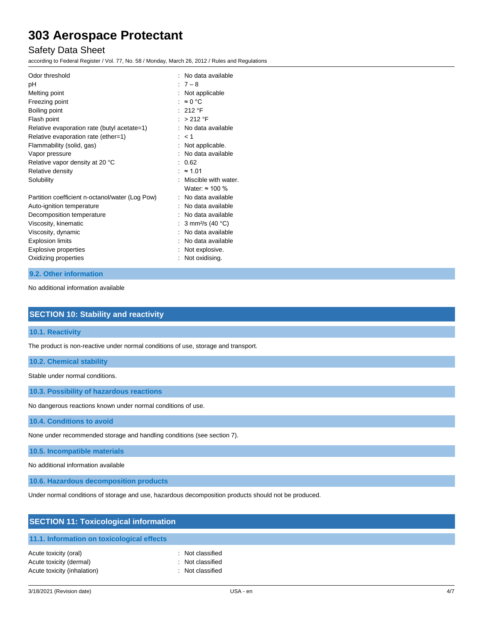### Safety Data Sheet

according to Federal Register / Vol. 77, No. 58 / Monday, March 26, 2012 / Rules and Regulations

| Odor threshold<br>рH<br>Melting point<br>Freezing point<br>Boiling point<br>Flash point<br>Relative evaporation rate (butyl acetate=1)<br>Relative evaporation rate (ether=1)<br>Flammability (solid, gas)<br>Vapor pressure<br>Relative vapor density at 20 °C<br>Relative density | No data available<br>$:7-8$<br>Not applicable<br>: $\approx 0$ °C<br>$:212$ °F<br>> 212 °F<br>No data available<br>$:$ < 1<br>Not applicable.<br>No data available<br>0.62<br>$: z = 1.01$ |
|-------------------------------------------------------------------------------------------------------------------------------------------------------------------------------------------------------------------------------------------------------------------------------------|--------------------------------------------------------------------------------------------------------------------------------------------------------------------------------------------|
| Solubility                                                                                                                                                                                                                                                                          | Miscible with water.<br>Water: $\approx$ 100 %                                                                                                                                             |
| Partition coefficient n-octanol/water (Log Pow)<br>Auto-ignition temperature<br>Decomposition temperature<br>Viscosity, kinematic<br>Viscosity, dynamic<br><b>Explosion limits</b><br>Explosive properties<br>Oxidizing properties                                                  | No data available<br>No data available<br>: No data available<br>: 3 mm <sup>2</sup> /s (40 °C)<br>No data available<br>: No data available<br>Not explosive.<br>Not oxidising.            |

**9.2. Other information**

No additional information available

| <b>SECTION 10: Stability and reactivity</b> |  |
|---------------------------------------------|--|
|                                             |  |

#### **10.1. Reactivity**

The product is non-reactive under normal conditions of use, storage and transport.

**10.2. Chemical stability**

Stable under normal conditions.

**10.3. Possibility of hazardous reactions**

No dangerous reactions known under normal conditions of use.

**10.4. Conditions to avoid**

None under recommended storage and handling conditions (see section 7).

**10.5. Incompatible materials**

No additional information available

**10.6. Hazardous decomposition products**

Under normal conditions of storage and use, hazardous decomposition products should not be produced.

| <b>SECTION 11: Toxicological information</b> |                  |  |  |
|----------------------------------------------|------------------|--|--|
| 11.1. Information on toxicological effects   |                  |  |  |
| Acute toxicity (oral)                        | : Not classified |  |  |
| Acute toxicity (dermal)                      | : Not classified |  |  |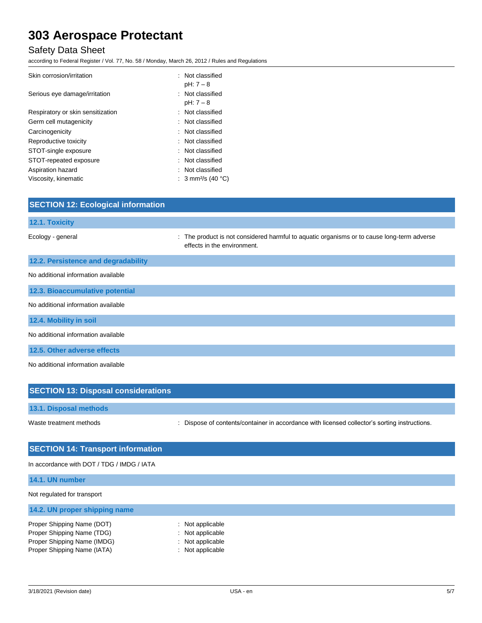## Safety Data Sheet

according to Federal Register / Vol. 77, No. 58 / Monday, March 26, 2012 / Rules and Regulations

| Skin corrosion/irritation         | : Not classified<br>pH: 7 - 8  |
|-----------------------------------|--------------------------------|
| Serious eye damage/irritation     | : Not classified<br>pH: 7 - 8  |
| Respiratory or skin sensitization | : Not classified               |
| Germ cell mutagenicity            | : Not classified               |
| Carcinogenicity                   | : Not classified               |
| Reproductive toxicity             | : Not classified               |
| STOT-single exposure              | : Not classified               |
| STOT-repeated exposure            | : Not classified               |
| Aspiration hazard                 | : Not classified               |
| Viscosity, kinematic              | : 3 mm <sup>2</sup> /s (40 °C) |

| <b>SECTION 12: Ecological information</b> |                                                                                                                           |
|-------------------------------------------|---------------------------------------------------------------------------------------------------------------------------|
| 12.1. Toxicity                            |                                                                                                                           |
| Ecology - general                         | : The product is not considered harmful to aquatic organisms or to cause long-term adverse<br>effects in the environment. |
| 12.2. Persistence and degradability       |                                                                                                                           |
| No additional information available       |                                                                                                                           |
| 12.3. Bioaccumulative potential           |                                                                                                                           |
| No additional information available       |                                                                                                                           |
| 12.4. Mobility in soil                    |                                                                                                                           |
| No additional information available       |                                                                                                                           |
| 12.5. Other adverse effects               |                                                                                                                           |
| No additional information available       |                                                                                                                           |

| <b>SECTION 13: Disposal considerations</b> |                                                                                               |
|--------------------------------------------|-----------------------------------------------------------------------------------------------|
| 13.1. Disposal methods                     |                                                                                               |
| Waste treatment methods                    | : Dispose of contents/container in accordance with licensed collector's sorting instructions. |

| <b>SECTION 14: Transport information</b>   |                  |  |
|--------------------------------------------|------------------|--|
| In accordance with DOT / TDG / IMDG / IATA |                  |  |
| 14.1. UN number                            |                  |  |
| Not regulated for transport                |                  |  |
| 14.2. UN proper shipping name              |                  |  |
| Proper Shipping Name (DOT)                 | : Not applicable |  |
| Proper Shipping Name (TDG)                 | : Not applicable |  |
| Proper Shipping Name (IMDG)                | : Not applicable |  |
| Proper Shipping Name (IATA)                | : Not applicable |  |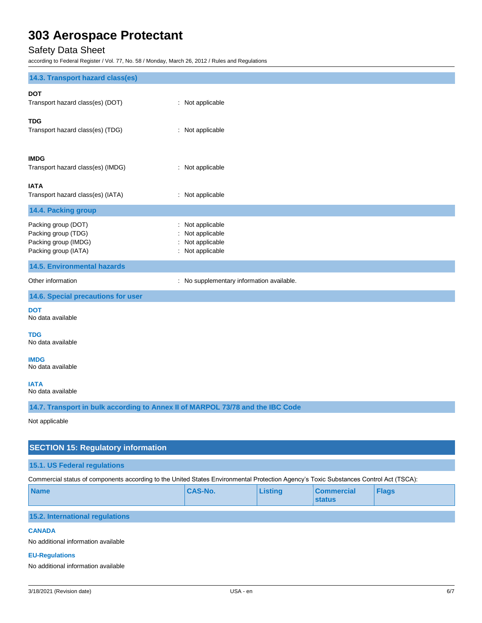## Safety Data Sheet

according to Federal Register / Vol. 77, No. 58 / Monday, March 26, 2012 / Rules and Regulations

| 14.3. Transport hazard class(es)                                                                                                      |                                                                      |                |                                    |              |  |  |
|---------------------------------------------------------------------------------------------------------------------------------------|----------------------------------------------------------------------|----------------|------------------------------------|--------------|--|--|
| <b>DOT</b><br>Transport hazard class(es) (DOT)                                                                                        | : Not applicable                                                     |                |                                    |              |  |  |
| <b>TDG</b><br>Transport hazard class(es) (TDG)                                                                                        | : Not applicable                                                     |                |                                    |              |  |  |
| <b>IMDG</b><br>Transport hazard class(es) (IMDG)                                                                                      | : Not applicable                                                     |                |                                    |              |  |  |
| <b>IATA</b><br>Transport hazard class(es) (IATA)                                                                                      | : Not applicable                                                     |                |                                    |              |  |  |
| 14.4. Packing group                                                                                                                   |                                                                      |                |                                    |              |  |  |
| Packing group (DOT)<br>Packing group (TDG)<br>Packing group (IMDG)<br>Packing group (IATA)                                            | Not applicable<br>Not applicable<br>Not applicable<br>Not applicable |                |                                    |              |  |  |
| <b>14.5. Environmental hazards</b>                                                                                                    |                                                                      |                |                                    |              |  |  |
| Other information                                                                                                                     | : No supplementary information available.                            |                |                                    |              |  |  |
| 14.6. Special precautions for user                                                                                                    |                                                                      |                |                                    |              |  |  |
| <b>DOT</b><br>No data available                                                                                                       |                                                                      |                |                                    |              |  |  |
| <b>TDG</b><br>No data available                                                                                                       |                                                                      |                |                                    |              |  |  |
| <b>IMDG</b><br>No data available                                                                                                      |                                                                      |                |                                    |              |  |  |
| <b>IATA</b><br>No data available                                                                                                      |                                                                      |                |                                    |              |  |  |
| 14.7. Transport in bulk according to Annex II of MARPOL 73/78 and the IBC Code                                                        |                                                                      |                |                                    |              |  |  |
| Not applicable                                                                                                                        |                                                                      |                |                                    |              |  |  |
| <b>SECTION 15: Regulatory information</b>                                                                                             |                                                                      |                |                                    |              |  |  |
| 15.1. US Federal regulations                                                                                                          |                                                                      |                |                                    |              |  |  |
| Commercial status of components according to the United States Environmental Protection Agency's Toxic Substances Control Act (TSCA): |                                                                      |                |                                    |              |  |  |
| <b>Name</b>                                                                                                                           | <b>CAS-No.</b>                                                       | <b>Listing</b> | <b>Commercial</b><br><b>status</b> | <b>Flags</b> |  |  |
| 15.2. International regulations                                                                                                       |                                                                      |                |                                    |              |  |  |
| <b>CANADA</b>                                                                                                                         |                                                                      |                |                                    |              |  |  |
| No additional information available                                                                                                   |                                                                      |                |                                    |              |  |  |
| <b>EU-Regulations</b>                                                                                                                 |                                                                      |                |                                    |              |  |  |

No additional information available